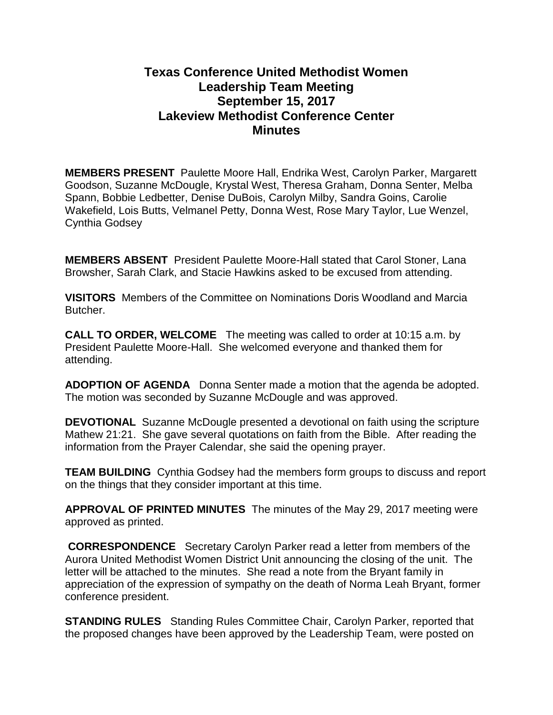# **Texas Conference United Methodist Women Leadership Team Meeting September 15, 2017 Lakeview Methodist Conference Center Minutes**

**MEMBERS PRESENT** Paulette Moore Hall, Endrika West, Carolyn Parker, Margarett Goodson, Suzanne McDougle, Krystal West, Theresa Graham, Donna Senter, Melba Spann, Bobbie Ledbetter, Denise DuBois, Carolyn Milby, Sandra Goins, Carolie Wakefield, Lois Butts, Velmanel Petty, Donna West, Rose Mary Taylor, Lue Wenzel, Cynthia Godsey

**MEMBERS ABSENT** President Paulette Moore-Hall stated that Carol Stoner, Lana Browsher, Sarah Clark, and Stacie Hawkins asked to be excused from attending.

**VISITORS** Members of the Committee on Nominations Doris Woodland and Marcia Butcher.

**CALL TO ORDER, WELCOME** The meeting was called to order at 10:15 a.m. by President Paulette Moore-Hall. She welcomed everyone and thanked them for attending.

**ADOPTION OF AGENDA** Donna Senter made a motion that the agenda be adopted. The motion was seconded by Suzanne McDougle and was approved.

**DEVOTIONAL** Suzanne McDougle presented a devotional on faith using the scripture Mathew 21:21. She gave several quotations on faith from the Bible. After reading the information from the Prayer Calendar, she said the opening prayer.

**TEAM BUILDING** Cynthia Godsey had the members form groups to discuss and report on the things that they consider important at this time.

**APPROVAL OF PRINTED MINUTES** The minutes of the May 29, 2017 meeting were approved as printed.

**CORRESPONDENCE** Secretary Carolyn Parker read a letter from members of the Aurora United Methodist Women District Unit announcing the closing of the unit. The letter will be attached to the minutes. She read a note from the Bryant family in appreciation of the expression of sympathy on the death of Norma Leah Bryant, former conference president.

**STANDING RULES** Standing Rules Committee Chair, Carolyn Parker, reported that the proposed changes have been approved by the Leadership Team, were posted on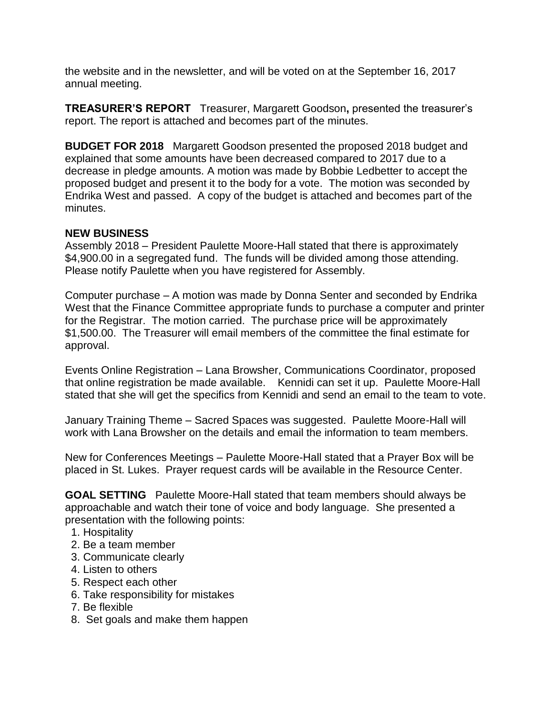the website and in the newsletter, and will be voted on at the September 16, 2017 annual meeting.

**TREASURER'S REPORT** Treasurer, Margarett Goodson**,** presented the treasurer's report. The report is attached and becomes part of the minutes.

**BUDGET FOR 2018** Margarett Goodson presented the proposed 2018 budget and explained that some amounts have been decreased compared to 2017 due to a decrease in pledge amounts. A motion was made by Bobbie Ledbetter to accept the proposed budget and present it to the body for a vote. The motion was seconded by Endrika West and passed. A copy of the budget is attached and becomes part of the minutes.

## **NEW BUSINESS**

Assembly 2018 – President Paulette Moore-Hall stated that there is approximately \$4,900.00 in a segregated fund. The funds will be divided among those attending. Please notify Paulette when you have registered for Assembly.

Computer purchase – A motion was made by Donna Senter and seconded by Endrika West that the Finance Committee appropriate funds to purchase a computer and printer for the Registrar. The motion carried. The purchase price will be approximately \$1,500.00. The Treasurer will email members of the committee the final estimate for approval.

Events Online Registration – Lana Browsher, Communications Coordinator, proposed that online registration be made available. Kennidi can set it up. Paulette Moore-Hall stated that she will get the specifics from Kennidi and send an email to the team to vote.

January Training Theme – Sacred Spaces was suggested. Paulette Moore-Hall will work with Lana Browsher on the details and email the information to team members.

New for Conferences Meetings – Paulette Moore-Hall stated that a Prayer Box will be placed in St. Lukes. Prayer request cards will be available in the Resource Center.

**GOAL SETTING** Paulette Moore-Hall stated that team members should always be approachable and watch their tone of voice and body language. She presented a presentation with the following points:

- 1. Hospitality
- 2. Be a team member
- 3. Communicate clearly
- 4. Listen to others
- 5. Respect each other
- 6. Take responsibility for mistakes
- 7. Be flexible
- 8. Set goals and make them happen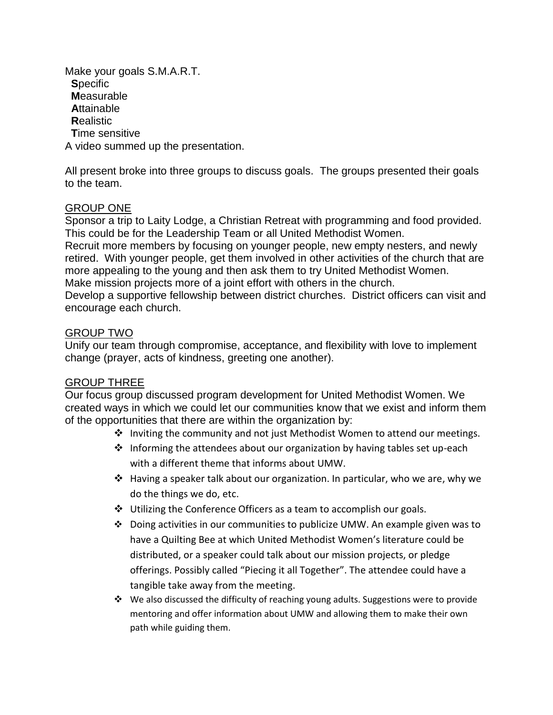Make your goals S.M.A.R.T. **S**pecific **M**easurable **A**ttainable **R**ealistic **T**ime sensitive A video summed up the presentation.

All present broke into three groups to discuss goals. The groups presented their goals to the team.

## GROUP ONE

Sponsor a trip to Laity Lodge, a Christian Retreat with programming and food provided. This could be for the Leadership Team or all United Methodist Women.

Recruit more members by focusing on younger people, new empty nesters, and newly retired. With younger people, get them involved in other activities of the church that are more appealing to the young and then ask them to try United Methodist Women. Make mission projects more of a joint effort with others in the church.

Develop a supportive fellowship between district churches. District officers can visit and encourage each church.

#### GROUP TWO

Unify our team through compromise, acceptance, and flexibility with love to implement change (prayer, acts of kindness, greeting one another).

#### GROUP THREE

Our focus group discussed program development for United Methodist Women. We created ways in which we could let our communities know that we exist and inform them of the opportunities that there are within the organization by:

- $\cdot \cdot$  Inviting the community and not just Methodist Women to attend our meetings.
- Informing the attendees about our organization by having tables set up-each with a different theme that informs about UMW.
- ◆ Having a speaker talk about our organization. In particular, who we are, why we do the things we do, etc.
- $\div$  Utilizing the Conference Officers as a team to accomplish our goals.
- $\div$  Doing activities in our communities to publicize UMW. An example given was to have a Quilting Bee at which United Methodist Women's literature could be distributed, or a speaker could talk about our mission projects, or pledge offerings. Possibly called "Piecing it all Together". The attendee could have a tangible take away from the meeting.
- $\cdot \cdot$  We also discussed the difficulty of reaching young adults. Suggestions were to provide mentoring and offer information about UMW and allowing them to make their own path while guiding them.